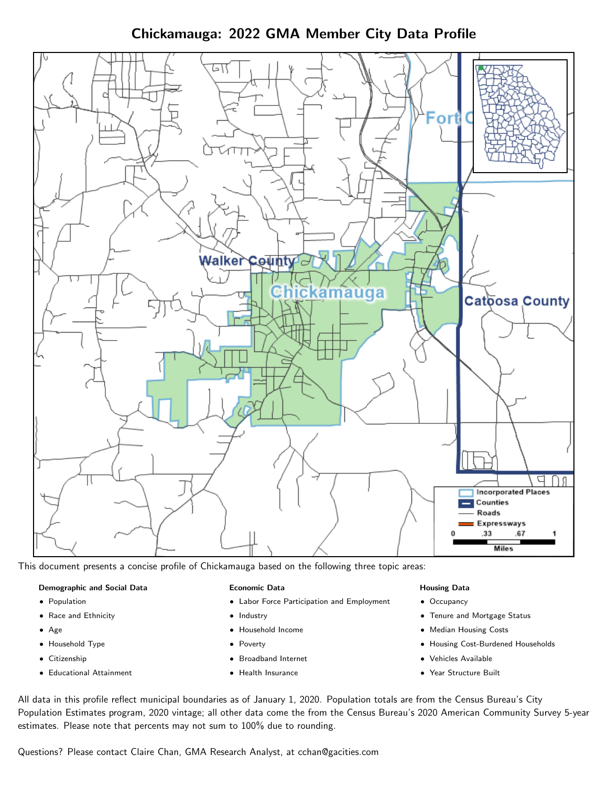Chickamauga: 2022 GMA Member City Data Profile



This document presents a concise profile of Chickamauga based on the following three topic areas:

#### Demographic and Social Data

- **•** Population
- Race and Ethnicity
- Age
- Household Type
- **Citizenship**
- Educational Attainment

#### Economic Data

- Labor Force Participation and Employment
- Industry
- Household Income
- Poverty
- Broadband Internet
- Health Insurance

#### Housing Data

- Occupancy
- Tenure and Mortgage Status
- Median Housing Costs
- Housing Cost-Burdened Households
- Vehicles Available
- Year Structure Built

All data in this profile reflect municipal boundaries as of January 1, 2020. Population totals are from the Census Bureau's City Population Estimates program, 2020 vintage; all other data come the from the Census Bureau's 2020 American Community Survey 5-year estimates. Please note that percents may not sum to 100% due to rounding.

Questions? Please contact Claire Chan, GMA Research Analyst, at [cchan@gacities.com.](mailto:cchan@gacities.com)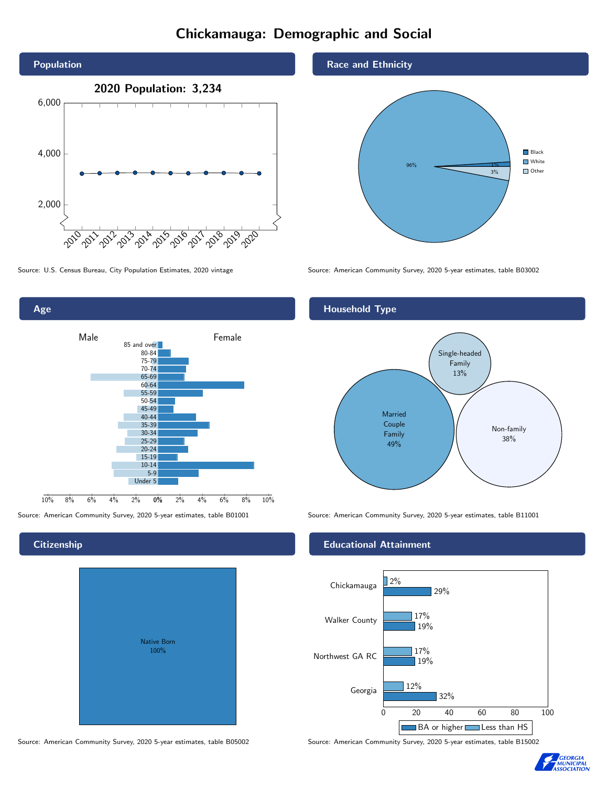### Chickamauga: Demographic and Social



0% 2% 4% 6% 8% 10% Male **Female** 10% 8% 6% 4% 2% 85 and over 80-84 75-79 70-74 65-69 60-64 55-59 50-54 45-49 40-44 35-39 30-34 25-29 20-24 15-19 10-14 5-9 Under 5

#### **Citizenship**

Age

| Native Born<br>100% |  |
|---------------------|--|

Source: American Community Survey, 2020 5-year estimates, table B05002 Source: American Community Survey, 2020 5-year estimates, table B15002

Race and Ethnicity



Source: U.S. Census Bureau, City Population Estimates, 2020 vintage Source: American Community Survey, 2020 5-year estimates, table B03002

#### Household Type



Source: American Community Survey, 2020 5-year estimates, table B01001 Source: American Community Survey, 2020 5-year estimates, table B11001

#### Educational Attainment



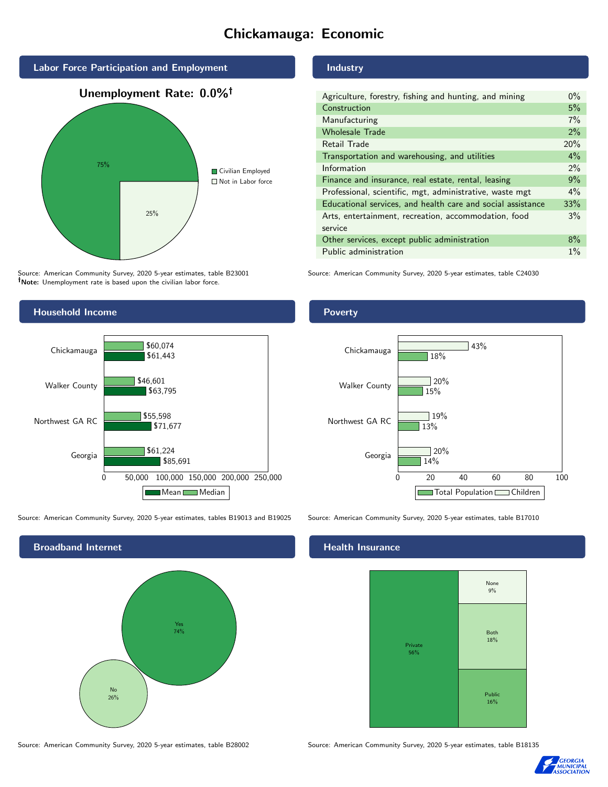### Chickamauga: Economic



Source: American Community Survey, 2020 5-year estimates, table B23001 Note: Unemployment rate is based upon the civilian labor force.

### Household Income 0 50,000 100,000 150,000 200,000 250,000 Georgia Northwest GA RC Walker County Chickamauga \$85,691 \$71,677 \$63,795 \$61,443 \$61,224 \$55,598 \$46,601 \$60,074 Mean Median

Source: American Community Survey, 2020 5-year estimates, tables B19013 and B19025 Source: American Community Survey, 2020 5-year estimates, table B17010

Broadband Internet No 26% Yes 74%

#### Industry

| Agriculture, forestry, fishing and hunting, and mining      | $0\%$ |
|-------------------------------------------------------------|-------|
| Construction                                                | 5%    |
| Manufacturing                                               | 7%    |
| <b>Wholesale Trade</b>                                      | 2%    |
| Retail Trade                                                | 20%   |
| Transportation and warehousing, and utilities               |       |
| Information                                                 |       |
| Finance and insurance, real estate, rental, leasing         |       |
| Professional, scientific, mgt, administrative, waste mgt    |       |
| Educational services, and health care and social assistance |       |
| Arts, entertainment, recreation, accommodation, food        |       |
| service                                                     |       |
| Other services, except public administration                |       |
| Public administration                                       |       |

Source: American Community Survey, 2020 5-year estimates, table C24030

#### **Poverty**



#### Health Insurance

![](_page_2_Figure_14.jpeg)

![](_page_2_Picture_17.jpeg)

Source: American Community Survey, 2020 5-year estimates, table B28002 Source: American Community Survey, 2020 5-year estimates, table B18135